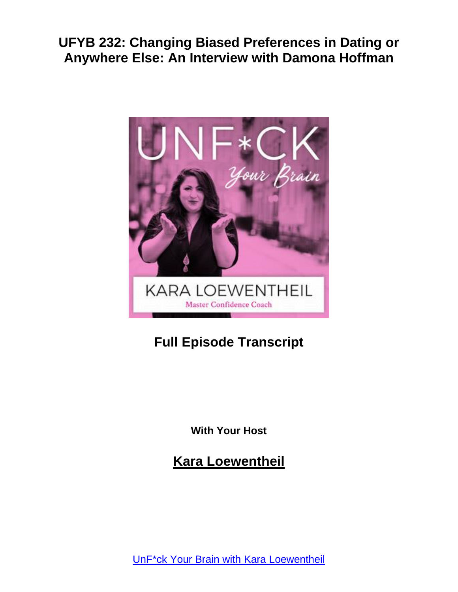

# **Full Episode Transcript**

**With Your Host**

**Kara Loewentheil**

UnF\*ck Your Brain with Kara [Loewentheil](https://unfuckyourbrain.com/podcast/)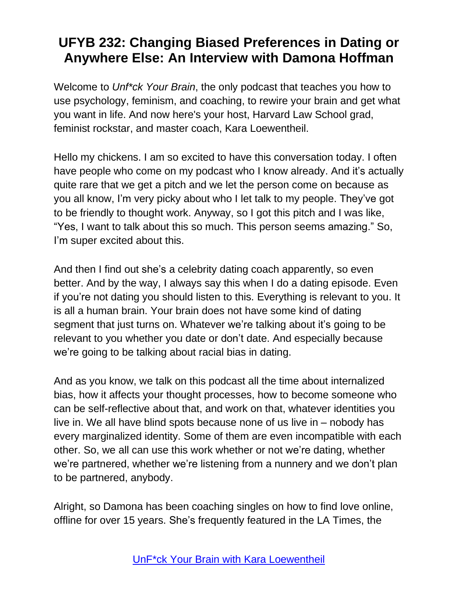Welcome to *Unf\*ck Your Brain*, the only podcast that teaches you how to use psychology, feminism, and coaching, to rewire your brain and get what you want in life. And now here's your host, Harvard Law School grad, feminist rockstar, and master coach, Kara Loewentheil.

Hello my chickens. I am so excited to have this conversation today. I often have people who come on my podcast who I know already. And it's actually quite rare that we get a pitch and we let the person come on because as you all know, I'm very picky about who I let talk to my people. They've got to be friendly to thought work. Anyway, so I got this pitch and I was like, "Yes, I want to talk about this so much. This person seems amazing." So, I'm super excited about this.

And then I find out she's a celebrity dating coach apparently, so even better. And by the way, I always say this when I do a dating episode. Even if you're not dating you should listen to this. Everything is relevant to you. It is all a human brain. Your brain does not have some kind of dating segment that just turns on. Whatever we're talking about it's going to be relevant to you whether you date or don't date. And especially because we're going to be talking about racial bias in dating.

And as you know, we talk on this podcast all the time about internalized bias, how it affects your thought processes, how to become someone who can be self-reflective about that, and work on that, whatever identities you live in. We all have blind spots because none of us live in – nobody has every marginalized identity. Some of them are even incompatible with each other. So, we all can use this work whether or not we're dating, whether we're partnered, whether we're listening from a nunnery and we don't plan to be partnered, anybody.

Alright, so Damona has been coaching singles on how to find love online, offline for over 15 years. She's frequently featured in the LA Times, the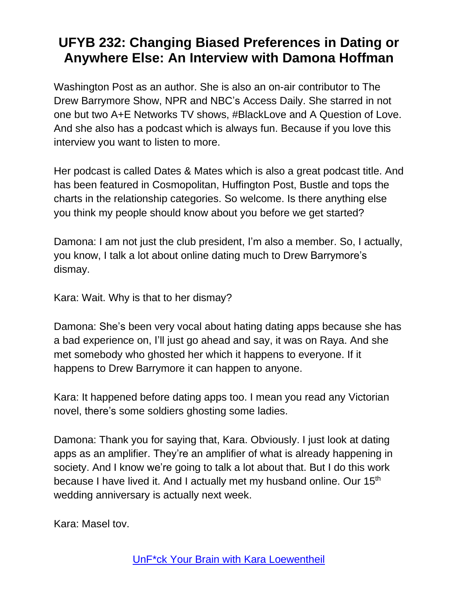Washington Post as an author. She is also an on-air contributor to The Drew Barrymore Show, NPR and NBC's Access Daily. She starred in not one but two A+E Networks TV shows, #BlackLove and A Question of Love. And she also has a podcast which is always fun. Because if you love this interview you want to listen to more.

Her podcast is called Dates & Mates which is also a great podcast title. And has been featured in Cosmopolitan, Huffington Post, Bustle and tops the charts in the relationship categories. So welcome. Is there anything else you think my people should know about you before we get started?

Damona: I am not just the club president, I'm also a member. So, I actually, you know, I talk a lot about online dating much to Drew Barrymore's dismay.

Kara: Wait. Why is that to her dismay?

Damona: She's been very vocal about hating dating apps because she has a bad experience on, I'll just go ahead and say, it was on Raya. And she met somebody who ghosted her which it happens to everyone. If it happens to Drew Barrymore it can happen to anyone.

Kara: It happened before dating apps too. I mean you read any Victorian novel, there's some soldiers ghosting some ladies.

Damona: Thank you for saying that, Kara. Obviously. I just look at dating apps as an amplifier. They're an amplifier of what is already happening in society. And I know we're going to talk a lot about that. But I do this work because I have lived it. And I actually met my husband online. Our 15<sup>th</sup> wedding anniversary is actually next week.

Kara: Masel tov.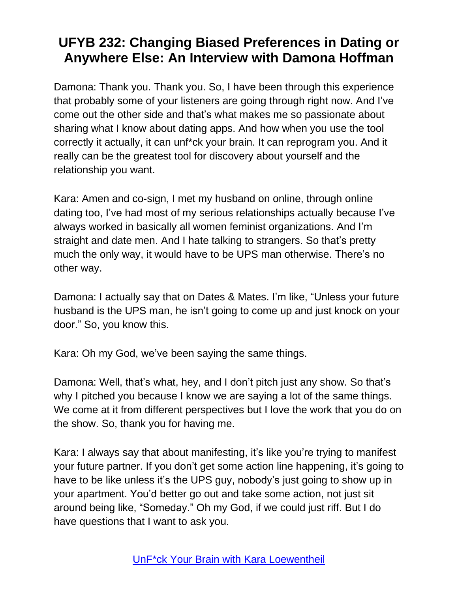Damona: Thank you. Thank you. So, I have been through this experience that probably some of your listeners are going through right now. And I've come out the other side and that's what makes me so passionate about sharing what I know about dating apps. And how when you use the tool correctly it actually, it can unf\*ck your brain. It can reprogram you. And it really can be the greatest tool for discovery about yourself and the relationship you want.

Kara: Amen and co-sign, I met my husband on online, through online dating too, I've had most of my serious relationships actually because I've always worked in basically all women feminist organizations. And I'm straight and date men. And I hate talking to strangers. So that's pretty much the only way, it would have to be UPS man otherwise. There's no other way.

Damona: I actually say that on Dates & Mates. I'm like, "Unless your future husband is the UPS man, he isn't going to come up and just knock on your door." So, you know this.

Kara: Oh my God, we've been saying the same things.

Damona: Well, that's what, hey, and I don't pitch just any show. So that's why I pitched you because I know we are saying a lot of the same things. We come at it from different perspectives but I love the work that you do on the show. So, thank you for having me.

Kara: I always say that about manifesting, it's like you're trying to manifest your future partner. If you don't get some action line happening, it's going to have to be like unless it's the UPS guy, nobody's just going to show up in your apartment. You'd better go out and take some action, not just sit around being like, "Someday." Oh my God, if we could just riff. But I do have questions that I want to ask you.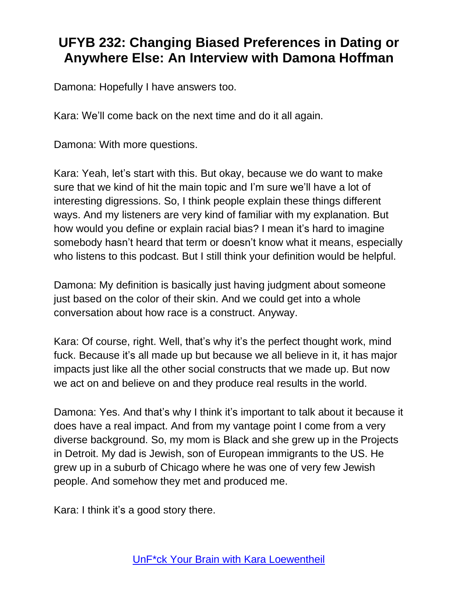Damona: Hopefully I have answers too.

Kara: We'll come back on the next time and do it all again.

Damona: With more questions.

Kara: Yeah, let's start with this. But okay, because we do want to make sure that we kind of hit the main topic and I'm sure we'll have a lot of interesting digressions. So, I think people explain these things different ways. And my listeners are very kind of familiar with my explanation. But how would you define or explain racial bias? I mean it's hard to imagine somebody hasn't heard that term or doesn't know what it means, especially who listens to this podcast. But I still think your definition would be helpful.

Damona: My definition is basically just having judgment about someone just based on the color of their skin. And we could get into a whole conversation about how race is a construct. Anyway.

Kara: Of course, right. Well, that's why it's the perfect thought work, mind fuck. Because it's all made up but because we all believe in it, it has major impacts just like all the other social constructs that we made up. But now we act on and believe on and they produce real results in the world.

Damona: Yes. And that's why I think it's important to talk about it because it does have a real impact. And from my vantage point I come from a very diverse background. So, my mom is Black and she grew up in the Projects in Detroit. My dad is Jewish, son of European immigrants to the US. He grew up in a suburb of Chicago where he was one of very few Jewish people. And somehow they met and produced me.

Kara: I think it's a good story there.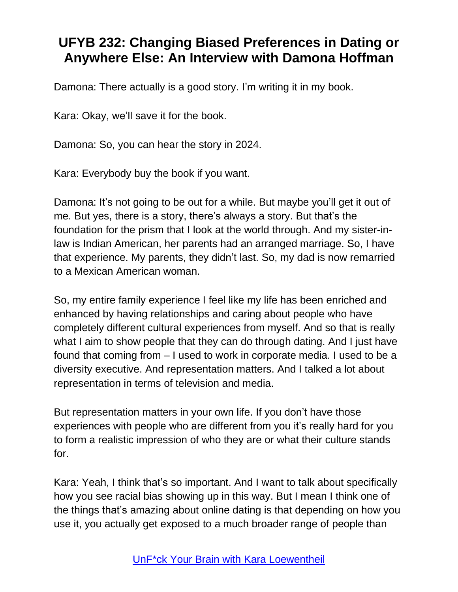Damona: There actually is a good story. I'm writing it in my book.

Kara: Okay, we'll save it for the book.

Damona: So, you can hear the story in 2024.

Kara: Everybody buy the book if you want.

Damona: It's not going to be out for a while. But maybe you'll get it out of me. But yes, there is a story, there's always a story. But that's the foundation for the prism that I look at the world through. And my sister-inlaw is Indian American, her parents had an arranged marriage. So, I have that experience. My parents, they didn't last. So, my dad is now remarried to a Mexican American woman.

So, my entire family experience I feel like my life has been enriched and enhanced by having relationships and caring about people who have completely different cultural experiences from myself. And so that is really what I aim to show people that they can do through dating. And I just have found that coming from – I used to work in corporate media. I used to be a diversity executive. And representation matters. And I talked a lot about representation in terms of television and media.

But representation matters in your own life. If you don't have those experiences with people who are different from you it's really hard for you to form a realistic impression of who they are or what their culture stands for.

Kara: Yeah, I think that's so important. And I want to talk about specifically how you see racial bias showing up in this way. But I mean I think one of the things that's amazing about online dating is that depending on how you use it, you actually get exposed to a much broader range of people than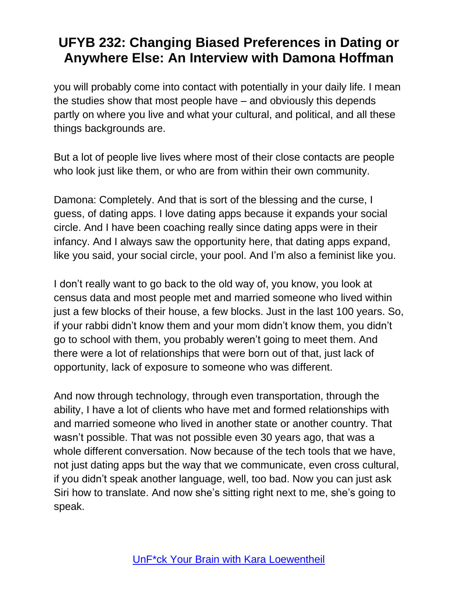you will probably come into contact with potentially in your daily life. I mean the studies show that most people have – and obviously this depends partly on where you live and what your cultural, and political, and all these things backgrounds are.

But a lot of people live lives where most of their close contacts are people who look just like them, or who are from within their own community.

Damona: Completely. And that is sort of the blessing and the curse, I guess, of dating apps. I love dating apps because it expands your social circle. And I have been coaching really since dating apps were in their infancy. And I always saw the opportunity here, that dating apps expand, like you said, your social circle, your pool. And I'm also a feminist like you.

I don't really want to go back to the old way of, you know, you look at census data and most people met and married someone who lived within just a few blocks of their house, a few blocks. Just in the last 100 years. So, if your rabbi didn't know them and your mom didn't know them, you didn't go to school with them, you probably weren't going to meet them. And there were a lot of relationships that were born out of that, just lack of opportunity, lack of exposure to someone who was different.

And now through technology, through even transportation, through the ability, I have a lot of clients who have met and formed relationships with and married someone who lived in another state or another country. That wasn't possible. That was not possible even 30 years ago, that was a whole different conversation. Now because of the tech tools that we have, not just dating apps but the way that we communicate, even cross cultural, if you didn't speak another language, well, too bad. Now you can just ask Siri how to translate. And now she's sitting right next to me, she's going to speak.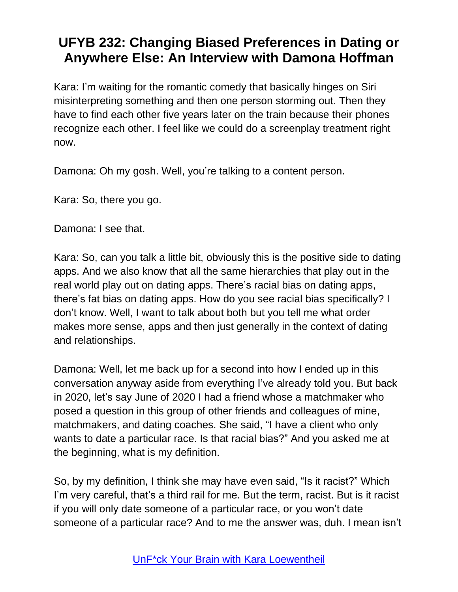Kara: I'm waiting for the romantic comedy that basically hinges on Siri misinterpreting something and then one person storming out. Then they have to find each other five years later on the train because their phones recognize each other. I feel like we could do a screenplay treatment right now.

Damona: Oh my gosh. Well, you're talking to a content person.

Kara: So, there you go.

Damona: I see that.

Kara: So, can you talk a little bit, obviously this is the positive side to dating apps. And we also know that all the same hierarchies that play out in the real world play out on dating apps. There's racial bias on dating apps, there's fat bias on dating apps. How do you see racial bias specifically? I don't know. Well, I want to talk about both but you tell me what order makes more sense, apps and then just generally in the context of dating and relationships.

Damona: Well, let me back up for a second into how I ended up in this conversation anyway aside from everything I've already told you. But back in 2020, let's say June of 2020 I had a friend whose a matchmaker who posed a question in this group of other friends and colleagues of mine, matchmakers, and dating coaches. She said, "I have a client who only wants to date a particular race. Is that racial bias?" And you asked me at the beginning, what is my definition.

So, by my definition, I think she may have even said, "Is it racist?" Which I'm very careful, that's a third rail for me. But the term, racist. But is it racist if you will only date someone of a particular race, or you won't date someone of a particular race? And to me the answer was, duh. I mean isn't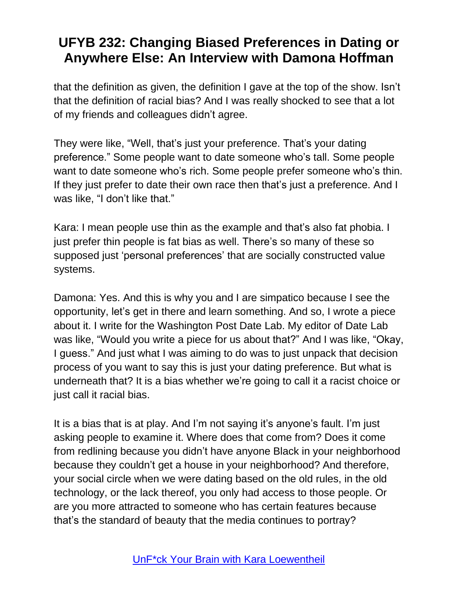that the definition as given, the definition I gave at the top of the show. Isn't that the definition of racial bias? And I was really shocked to see that a lot of my friends and colleagues didn't agree.

They were like, "Well, that's just your preference. That's your dating preference." Some people want to date someone who's tall. Some people want to date someone who's rich. Some people prefer someone who's thin. If they just prefer to date their own race then that's just a preference. And I was like, "I don't like that."

Kara: I mean people use thin as the example and that's also fat phobia. I just prefer thin people is fat bias as well. There's so many of these so supposed just 'personal preferences' that are socially constructed value systems.

Damona: Yes. And this is why you and I are simpatico because I see the opportunity, let's get in there and learn something. And so, I wrote a piece about it. I write for the Washington Post Date Lab. My editor of Date Lab was like, "Would you write a piece for us about that?" And I was like, "Okay, I guess." And just what I was aiming to do was to just unpack that decision process of you want to say this is just your dating preference. But what is underneath that? It is a bias whether we're going to call it a racist choice or just call it racial bias.

It is a bias that is at play. And I'm not saying it's anyone's fault. I'm just asking people to examine it. Where does that come from? Does it come from redlining because you didn't have anyone Black in your neighborhood because they couldn't get a house in your neighborhood? And therefore, your social circle when we were dating based on the old rules, in the old technology, or the lack thereof, you only had access to those people. Or are you more attracted to someone who has certain features because that's the standard of beauty that the media continues to portray?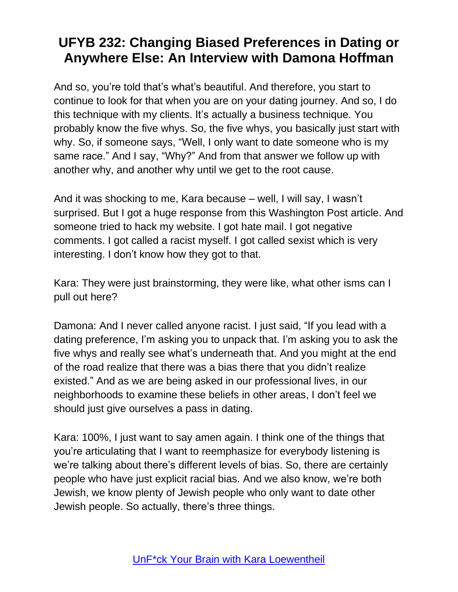And so, you're told that's what's beautiful. And therefore, you start to continue to look for that when you are on your dating journey. And so, I do this technique with my clients. It's actually a business technique. You probably know the five whys. So, the five whys, you basically just start with why. So, if someone says, "Well, I only want to date someone who is my same race." And I say, "Why?" And from that answer we follow up with another why, and another why until we get to the root cause.

And it was shocking to me, Kara because – well, I will say, I wasn't surprised. But I got a huge response from this Washington Post article. And someone tried to hack my website. I got hate mail. I got negative comments. I got called a racist myself. I got called sexist which is very interesting. I don't know how they got to that.

Kara: They were just brainstorming, they were like, what other isms can I pull out here?

Damona: And I never called anyone racist. I just said, "If you lead with a dating preference, I'm asking you to unpack that. I'm asking you to ask the five whys and really see what's underneath that. And you might at the end of the road realize that there was a bias there that you didn't realize existed." And as we are being asked in our professional lives, in our neighborhoods to examine these beliefs in other areas, I don't feel we should just give ourselves a pass in dating.

Kara: 100%, I just want to say amen again. I think one of the things that you're articulating that I want to reemphasize for everybody listening is we're talking about there's different levels of bias. So, there are certainly people who have just explicit racial bias. And we also know, we're both Jewish, we know plenty of Jewish people who only want to date other Jewish people. So actually, there's three things.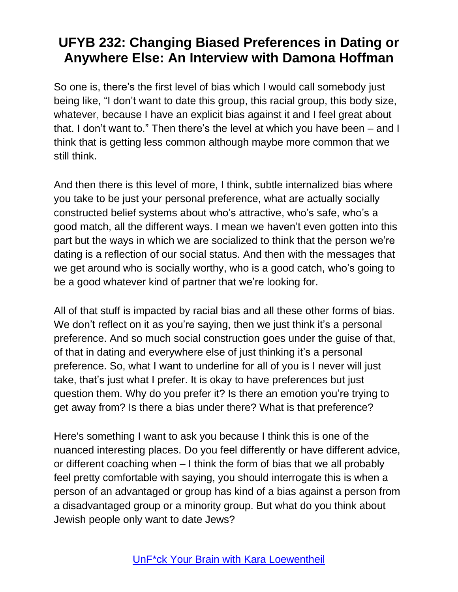So one is, there's the first level of bias which I would call somebody just being like, "I don't want to date this group, this racial group, this body size, whatever, because I have an explicit bias against it and I feel great about that. I don't want to." Then there's the level at which you have been – and I think that is getting less common although maybe more common that we still think.

And then there is this level of more, I think, subtle internalized bias where you take to be just your personal preference, what are actually socially constructed belief systems about who's attractive, who's safe, who's a good match, all the different ways. I mean we haven't even gotten into this part but the ways in which we are socialized to think that the person we're dating is a reflection of our social status. And then with the messages that we get around who is socially worthy, who is a good catch, who's going to be a good whatever kind of partner that we're looking for.

All of that stuff is impacted by racial bias and all these other forms of bias. We don't reflect on it as you're saying, then we just think it's a personal preference. And so much social construction goes under the guise of that, of that in dating and everywhere else of just thinking it's a personal preference. So, what I want to underline for all of you is I never will just take, that's just what I prefer. It is okay to have preferences but just question them. Why do you prefer it? Is there an emotion you're trying to get away from? Is there a bias under there? What is that preference?

Here's something I want to ask you because I think this is one of the nuanced interesting places. Do you feel differently or have different advice, or different coaching when – I think the form of bias that we all probably feel pretty comfortable with saying, you should interrogate this is when a person of an advantaged or group has kind of a bias against a person from a disadvantaged group or a minority group. But what do you think about Jewish people only want to date Jews?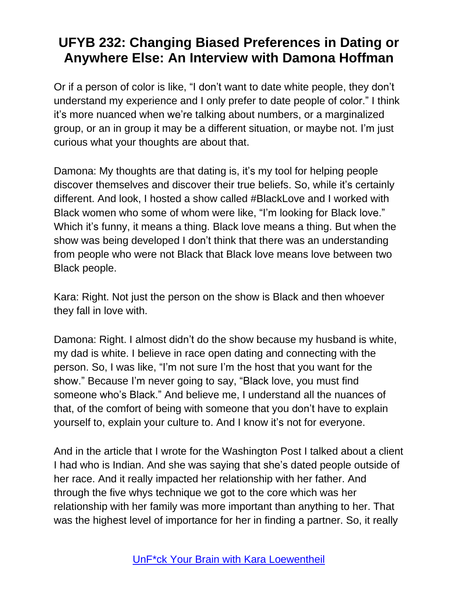Or if a person of color is like, "I don't want to date white people, they don't understand my experience and I only prefer to date people of color." I think it's more nuanced when we're talking about numbers, or a marginalized group, or an in group it may be a different situation, or maybe not. I'm just curious what your thoughts are about that.

Damona: My thoughts are that dating is, it's my tool for helping people discover themselves and discover their true beliefs. So, while it's certainly different. And look, I hosted a show called #BlackLove and I worked with Black women who some of whom were like, "I'm looking for Black love." Which it's funny, it means a thing. Black love means a thing. But when the show was being developed I don't think that there was an understanding from people who were not Black that Black love means love between two Black people.

Kara: Right. Not just the person on the show is Black and then whoever they fall in love with.

Damona: Right. I almost didn't do the show because my husband is white, my dad is white. I believe in race open dating and connecting with the person. So, I was like, "I'm not sure I'm the host that you want for the show." Because I'm never going to say, "Black love, you must find someone who's Black." And believe me, I understand all the nuances of that, of the comfort of being with someone that you don't have to explain yourself to, explain your culture to. And I know it's not for everyone.

And in the article that I wrote for the Washington Post I talked about a client I had who is Indian. And she was saying that she's dated people outside of her race. And it really impacted her relationship with her father. And through the five whys technique we got to the core which was her relationship with her family was more important than anything to her. That was the highest level of importance for her in finding a partner. So, it really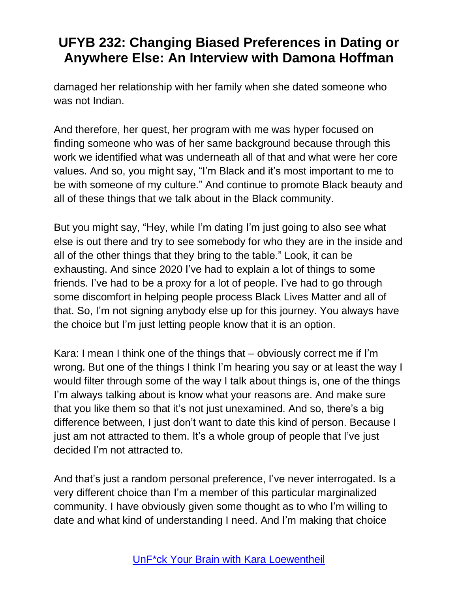damaged her relationship with her family when she dated someone who was not Indian.

And therefore, her quest, her program with me was hyper focused on finding someone who was of her same background because through this work we identified what was underneath all of that and what were her core values. And so, you might say, "I'm Black and it's most important to me to be with someone of my culture." And continue to promote Black beauty and all of these things that we talk about in the Black community.

But you might say, "Hey, while I'm dating I'm just going to also see what else is out there and try to see somebody for who they are in the inside and all of the other things that they bring to the table." Look, it can be exhausting. And since 2020 I've had to explain a lot of things to some friends. I've had to be a proxy for a lot of people. I've had to go through some discomfort in helping people process Black Lives Matter and all of that. So, I'm not signing anybody else up for this journey. You always have the choice but I'm just letting people know that it is an option.

Kara: I mean I think one of the things that – obviously correct me if I'm wrong. But one of the things I think I'm hearing you say or at least the way I would filter through some of the way I talk about things is, one of the things I'm always talking about is know what your reasons are. And make sure that you like them so that it's not just unexamined. And so, there's a big difference between, I just don't want to date this kind of person. Because I just am not attracted to them. It's a whole group of people that I've just decided I'm not attracted to.

And that's just a random personal preference, I've never interrogated. Is a very different choice than I'm a member of this particular marginalized community. I have obviously given some thought as to who I'm willing to date and what kind of understanding I need. And I'm making that choice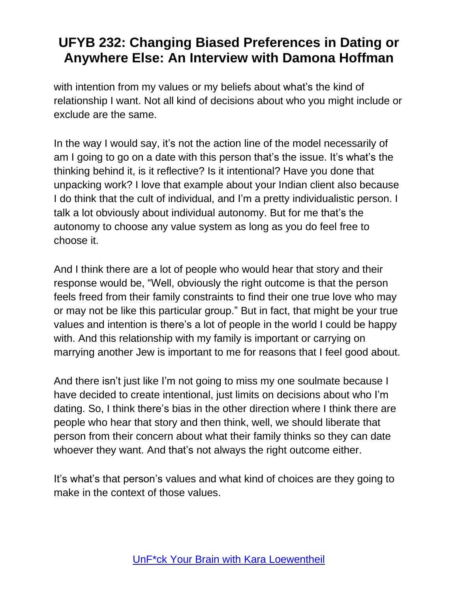with intention from my values or my beliefs about what's the kind of relationship I want. Not all kind of decisions about who you might include or exclude are the same.

In the way I would say, it's not the action line of the model necessarily of am I going to go on a date with this person that's the issue. It's what's the thinking behind it, is it reflective? Is it intentional? Have you done that unpacking work? I love that example about your Indian client also because I do think that the cult of individual, and I'm a pretty individualistic person. I talk a lot obviously about individual autonomy. But for me that's the autonomy to choose any value system as long as you do feel free to choose it.

And I think there are a lot of people who would hear that story and their response would be, "Well, obviously the right outcome is that the person feels freed from their family constraints to find their one true love who may or may not be like this particular group." But in fact, that might be your true values and intention is there's a lot of people in the world I could be happy with. And this relationship with my family is important or carrying on marrying another Jew is important to me for reasons that I feel good about.

And there isn't just like I'm not going to miss my one soulmate because I have decided to create intentional, just limits on decisions about who I'm dating. So, I think there's bias in the other direction where I think there are people who hear that story and then think, well, we should liberate that person from their concern about what their family thinks so they can date whoever they want. And that's not always the right outcome either.

It's what's that person's values and what kind of choices are they going to make in the context of those values.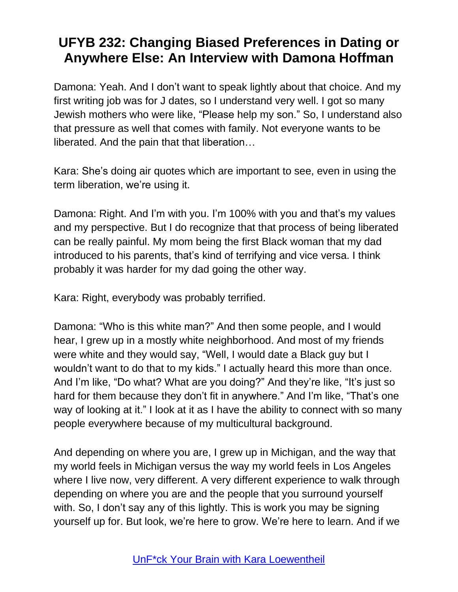Damona: Yeah. And I don't want to speak lightly about that choice. And my first writing job was for J dates, so I understand very well. I got so many Jewish mothers who were like, "Please help my son." So, I understand also that pressure as well that comes with family. Not everyone wants to be liberated. And the pain that that liberation…

Kara: She's doing air quotes which are important to see, even in using the term liberation, we're using it.

Damona: Right. And I'm with you. I'm 100% with you and that's my values and my perspective. But I do recognize that that process of being liberated can be really painful. My mom being the first Black woman that my dad introduced to his parents, that's kind of terrifying and vice versa. I think probably it was harder for my dad going the other way.

Kara: Right, everybody was probably terrified.

Damona: "Who is this white man?" And then some people, and I would hear, I grew up in a mostly white neighborhood. And most of my friends were white and they would say, "Well, I would date a Black guy but I wouldn't want to do that to my kids." I actually heard this more than once. And I'm like, "Do what? What are you doing?" And they're like, "It's just so hard for them because they don't fit in anywhere." And I'm like, "That's one way of looking at it." I look at it as I have the ability to connect with so many people everywhere because of my multicultural background.

And depending on where you are, I grew up in Michigan, and the way that my world feels in Michigan versus the way my world feels in Los Angeles where I live now, very different. A very different experience to walk through depending on where you are and the people that you surround yourself with. So, I don't say any of this lightly. This is work you may be signing yourself up for. But look, we're here to grow. We're here to learn. And if we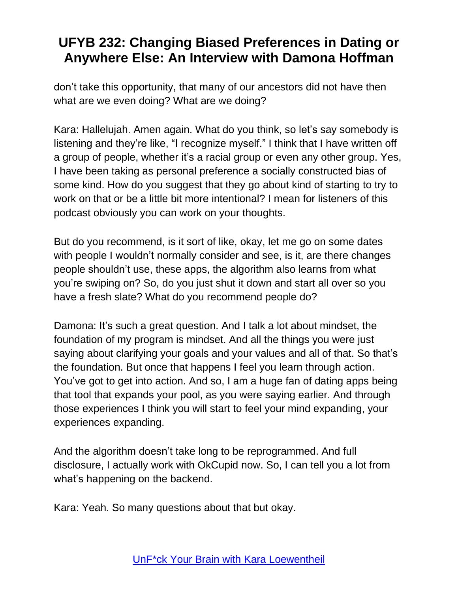don't take this opportunity, that many of our ancestors did not have then what are we even doing? What are we doing?

Kara: Hallelujah. Amen again. What do you think, so let's say somebody is listening and they're like, "I recognize myself." I think that I have written off a group of people, whether it's a racial group or even any other group. Yes, I have been taking as personal preference a socially constructed bias of some kind. How do you suggest that they go about kind of starting to try to work on that or be a little bit more intentional? I mean for listeners of this podcast obviously you can work on your thoughts.

But do you recommend, is it sort of like, okay, let me go on some dates with people I wouldn't normally consider and see, is it, are there changes people shouldn't use, these apps, the algorithm also learns from what you're swiping on? So, do you just shut it down and start all over so you have a fresh slate? What do you recommend people do?

Damona: It's such a great question. And I talk a lot about mindset, the foundation of my program is mindset. And all the things you were just saying about clarifying your goals and your values and all of that. So that's the foundation. But once that happens I feel you learn through action. You've got to get into action. And so, I am a huge fan of dating apps being that tool that expands your pool, as you were saying earlier. And through those experiences I think you will start to feel your mind expanding, your experiences expanding.

And the algorithm doesn't take long to be reprogrammed. And full disclosure, I actually work with OkCupid now. So, I can tell you a lot from what's happening on the backend.

Kara: Yeah. So many questions about that but okay.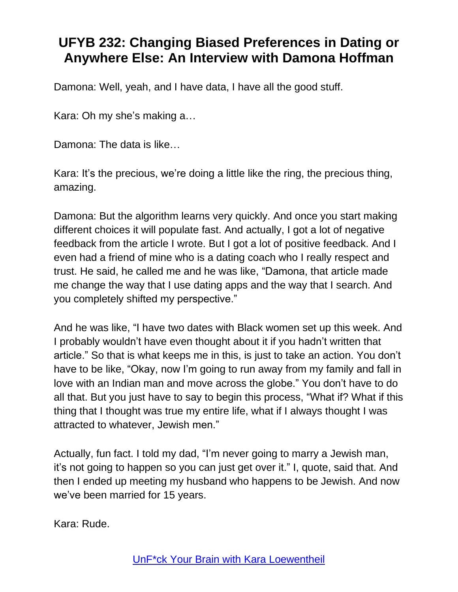Damona: Well, yeah, and I have data, I have all the good stuff.

Kara: Oh my she's making a…

Damona: The data is like…

Kara: It's the precious, we're doing a little like the ring, the precious thing, amazing.

Damona: But the algorithm learns very quickly. And once you start making different choices it will populate fast. And actually, I got a lot of negative feedback from the article I wrote. But I got a lot of positive feedback. And I even had a friend of mine who is a dating coach who I really respect and trust. He said, he called me and he was like, "Damona, that article made me change the way that I use dating apps and the way that I search. And you completely shifted my perspective."

And he was like, "I have two dates with Black women set up this week. And I probably wouldn't have even thought about it if you hadn't written that article." So that is what keeps me in this, is just to take an action. You don't have to be like, "Okay, now I'm going to run away from my family and fall in love with an Indian man and move across the globe." You don't have to do all that. But you just have to say to begin this process, "What if? What if this thing that I thought was true my entire life, what if I always thought I was attracted to whatever, Jewish men."

Actually, fun fact. I told my dad, "I'm never going to marry a Jewish man, it's not going to happen so you can just get over it." I, quote, said that. And then I ended up meeting my husband who happens to be Jewish. And now we've been married for 15 years.

Kara: Rude.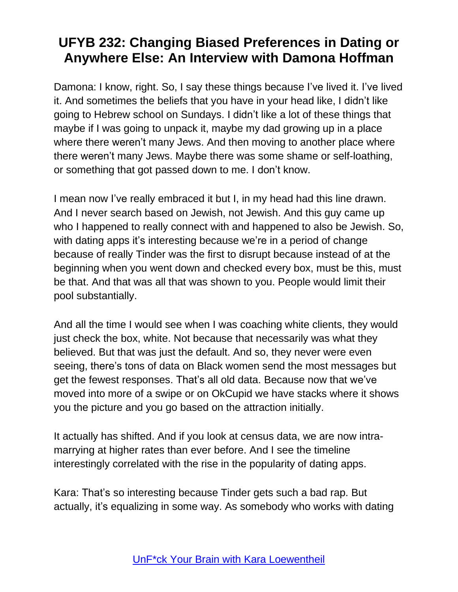Damona: I know, right. So, I say these things because I've lived it. I've lived it. And sometimes the beliefs that you have in your head like, I didn't like going to Hebrew school on Sundays. I didn't like a lot of these things that maybe if I was going to unpack it, maybe my dad growing up in a place where there weren't many Jews. And then moving to another place where there weren't many Jews. Maybe there was some shame or self-loathing, or something that got passed down to me. I don't know.

I mean now I've really embraced it but I, in my head had this line drawn. And I never search based on Jewish, not Jewish. And this guy came up who I happened to really connect with and happened to also be Jewish. So, with dating apps it's interesting because we're in a period of change because of really Tinder was the first to disrupt because instead of at the beginning when you went down and checked every box, must be this, must be that. And that was all that was shown to you. People would limit their pool substantially.

And all the time I would see when I was coaching white clients, they would just check the box, white. Not because that necessarily was what they believed. But that was just the default. And so, they never were even seeing, there's tons of data on Black women send the most messages but get the fewest responses. That's all old data. Because now that we've moved into more of a swipe or on OkCupid we have stacks where it shows you the picture and you go based on the attraction initially.

It actually has shifted. And if you look at census data, we are now intramarrying at higher rates than ever before. And I see the timeline interestingly correlated with the rise in the popularity of dating apps.

Kara: That's so interesting because Tinder gets such a bad rap. But actually, it's equalizing in some way. As somebody who works with dating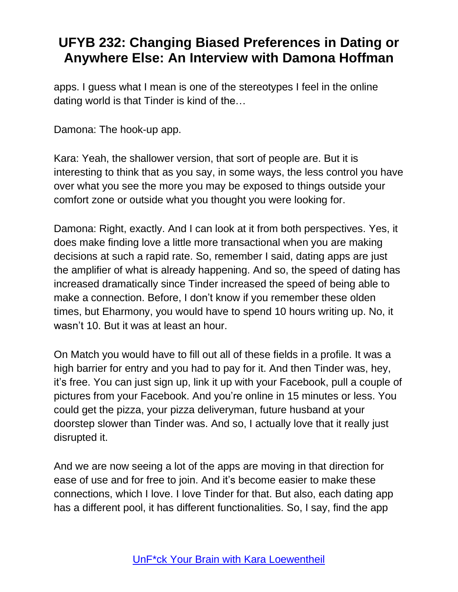apps. I guess what I mean is one of the stereotypes I feel in the online dating world is that Tinder is kind of the…

Damona: The hook-up app.

Kara: Yeah, the shallower version, that sort of people are. But it is interesting to think that as you say, in some ways, the less control you have over what you see the more you may be exposed to things outside your comfort zone or outside what you thought you were looking for.

Damona: Right, exactly. And I can look at it from both perspectives. Yes, it does make finding love a little more transactional when you are making decisions at such a rapid rate. So, remember I said, dating apps are just the amplifier of what is already happening. And so, the speed of dating has increased dramatically since Tinder increased the speed of being able to make a connection. Before, I don't know if you remember these olden times, but Eharmony, you would have to spend 10 hours writing up. No, it wasn't 10. But it was at least an hour.

On Match you would have to fill out all of these fields in a profile. It was a high barrier for entry and you had to pay for it. And then Tinder was, hey, it's free. You can just sign up, link it up with your Facebook, pull a couple of pictures from your Facebook. And you're online in 15 minutes or less. You could get the pizza, your pizza deliveryman, future husband at your doorstep slower than Tinder was. And so, I actually love that it really just disrupted it.

And we are now seeing a lot of the apps are moving in that direction for ease of use and for free to join. And it's become easier to make these connections, which I love. I love Tinder for that. But also, each dating app has a different pool, it has different functionalities. So, I say, find the app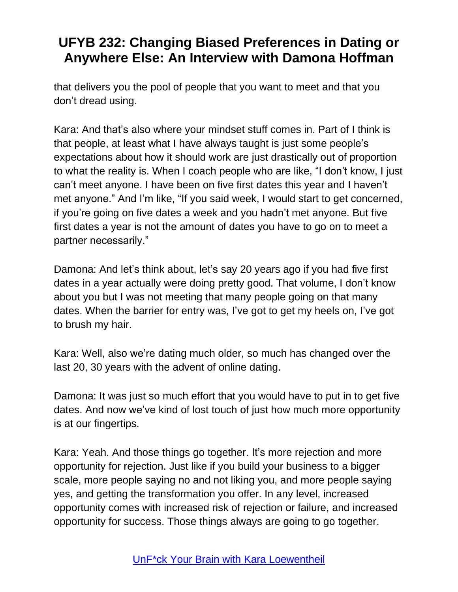that delivers you the pool of people that you want to meet and that you don't dread using.

Kara: And that's also where your mindset stuff comes in. Part of I think is that people, at least what I have always taught is just some people's expectations about how it should work are just drastically out of proportion to what the reality is. When I coach people who are like, "I don't know, I just can't meet anyone. I have been on five first dates this year and I haven't met anyone." And I'm like, "If you said week, I would start to get concerned, if you're going on five dates a week and you hadn't met anyone. But five first dates a year is not the amount of dates you have to go on to meet a partner necessarily."

Damona: And let's think about, let's say 20 years ago if you had five first dates in a year actually were doing pretty good. That volume, I don't know about you but I was not meeting that many people going on that many dates. When the barrier for entry was, I've got to get my heels on, I've got to brush my hair.

Kara: Well, also we're dating much older, so much has changed over the last 20, 30 years with the advent of online dating.

Damona: It was just so much effort that you would have to put in to get five dates. And now we've kind of lost touch of just how much more opportunity is at our fingertips.

Kara: Yeah. And those things go together. It's more rejection and more opportunity for rejection. Just like if you build your business to a bigger scale, more people saying no and not liking you, and more people saying yes, and getting the transformation you offer. In any level, increased opportunity comes with increased risk of rejection or failure, and increased opportunity for success. Those things always are going to go together.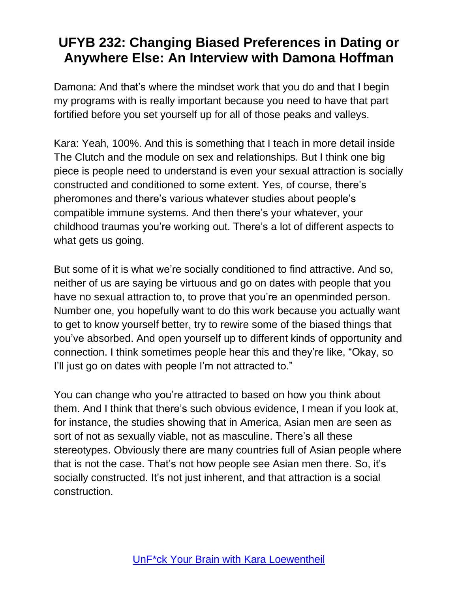Damona: And that's where the mindset work that you do and that I begin my programs with is really important because you need to have that part fortified before you set yourself up for all of those peaks and valleys.

Kara: Yeah, 100%. And this is something that I teach in more detail inside The Clutch and the module on sex and relationships. But I think one big piece is people need to understand is even your sexual attraction is socially constructed and conditioned to some extent. Yes, of course, there's pheromones and there's various whatever studies about people's compatible immune systems. And then there's your whatever, your childhood traumas you're working out. There's a lot of different aspects to what gets us going.

But some of it is what we're socially conditioned to find attractive. And so, neither of us are saying be virtuous and go on dates with people that you have no sexual attraction to, to prove that you're an openminded person. Number one, you hopefully want to do this work because you actually want to get to know yourself better, try to rewire some of the biased things that you've absorbed. And open yourself up to different kinds of opportunity and connection. I think sometimes people hear this and they're like, "Okay, so I'll just go on dates with people I'm not attracted to."

You can change who you're attracted to based on how you think about them. And I think that there's such obvious evidence, I mean if you look at, for instance, the studies showing that in America, Asian men are seen as sort of not as sexually viable, not as masculine. There's all these stereotypes. Obviously there are many countries full of Asian people where that is not the case. That's not how people see Asian men there. So, it's socially constructed. It's not just inherent, and that attraction is a social construction.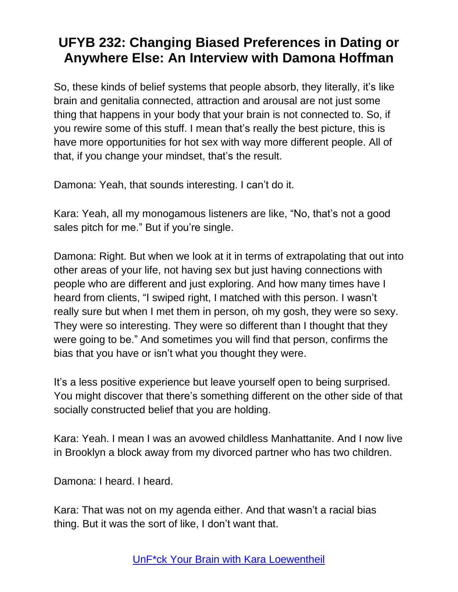So, these kinds of belief systems that people absorb, they literally, it's like brain and genitalia connected, attraction and arousal are not just some thing that happens in your body that your brain is not connected to. So, if you rewire some of this stuff. I mean that's really the best picture, this is have more opportunities for hot sex with way more different people. All of that, if you change your mindset, that's the result.

Damona: Yeah, that sounds interesting. I can't do it.

Kara: Yeah, all my monogamous listeners are like, "No, that's not a good sales pitch for me." But if you're single.

Damona: Right. But when we look at it in terms of extrapolating that out into other areas of your life, not having sex but just having connections with people who are different and just exploring. And how many times have I heard from clients, "I swiped right, I matched with this person. I wasn't really sure but when I met them in person, oh my gosh, they were so sexy. They were so interesting. They were so different than I thought that they were going to be." And sometimes you will find that person, confirms the bias that you have or isn't what you thought they were.

It's a less positive experience but leave yourself open to being surprised. You might discover that there's something different on the other side of that socially constructed belief that you are holding.

Kara: Yeah. I mean I was an avowed childless Manhattanite. And I now live in Brooklyn a block away from my divorced partner who has two children.

Damona: I heard. I heard.

Kara: That was not on my agenda either. And that wasn't a racial bias thing. But it was the sort of like, I don't want that.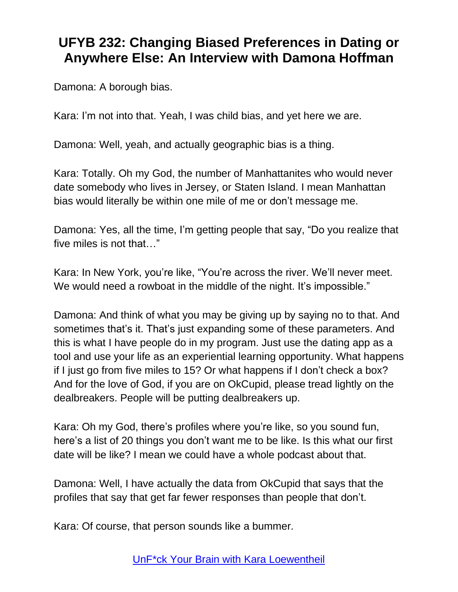Damona: A borough bias.

Kara: I'm not into that. Yeah, I was child bias, and yet here we are.

Damona: Well, yeah, and actually geographic bias is a thing.

Kara: Totally. Oh my God, the number of Manhattanites who would never date somebody who lives in Jersey, or Staten Island. I mean Manhattan bias would literally be within one mile of me or don't message me.

Damona: Yes, all the time, I'm getting people that say, "Do you realize that five miles is not that…"

Kara: In New York, you're like, "You're across the river. We'll never meet. We would need a rowboat in the middle of the night. It's impossible."

Damona: And think of what you may be giving up by saying no to that. And sometimes that's it. That's just expanding some of these parameters. And this is what I have people do in my program. Just use the dating app as a tool and use your life as an experiential learning opportunity. What happens if I just go from five miles to 15? Or what happens if I don't check a box? And for the love of God, if you are on OkCupid, please tread lightly on the dealbreakers. People will be putting dealbreakers up.

Kara: Oh my God, there's profiles where you're like, so you sound fun, here's a list of 20 things you don't want me to be like. Is this what our first date will be like? I mean we could have a whole podcast about that.

Damona: Well, I have actually the data from OkCupid that says that the profiles that say that get far fewer responses than people that don't.

Kara: Of course, that person sounds like a bummer.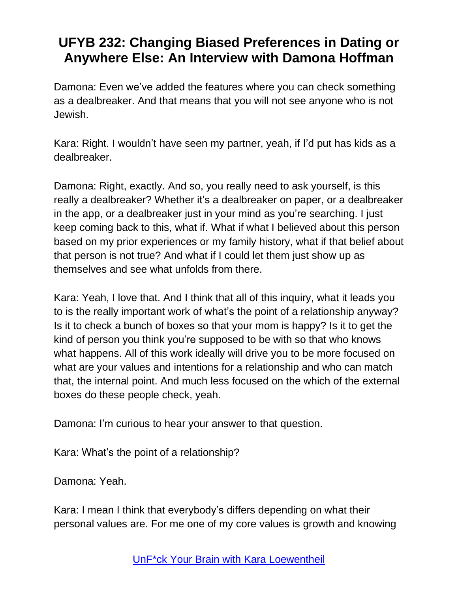Damona: Even we've added the features where you can check something as a dealbreaker. And that means that you will not see anyone who is not Jewish.

Kara: Right. I wouldn't have seen my partner, yeah, if I'd put has kids as a dealbreaker.

Damona: Right, exactly. And so, you really need to ask yourself, is this really a dealbreaker? Whether it's a dealbreaker on paper, or a dealbreaker in the app, or a dealbreaker just in your mind as you're searching. I just keep coming back to this, what if. What if what I believed about this person based on my prior experiences or my family history, what if that belief about that person is not true? And what if I could let them just show up as themselves and see what unfolds from there.

Kara: Yeah, I love that. And I think that all of this inquiry, what it leads you to is the really important work of what's the point of a relationship anyway? Is it to check a bunch of boxes so that your mom is happy? Is it to get the kind of person you think you're supposed to be with so that who knows what happens. All of this work ideally will drive you to be more focused on what are your values and intentions for a relationship and who can match that, the internal point. And much less focused on the which of the external boxes do these people check, yeah.

Damona: I'm curious to hear your answer to that question.

Kara: What's the point of a relationship?

Damona: Yeah.

Kara: I mean I think that everybody's differs depending on what their personal values are. For me one of my core values is growth and knowing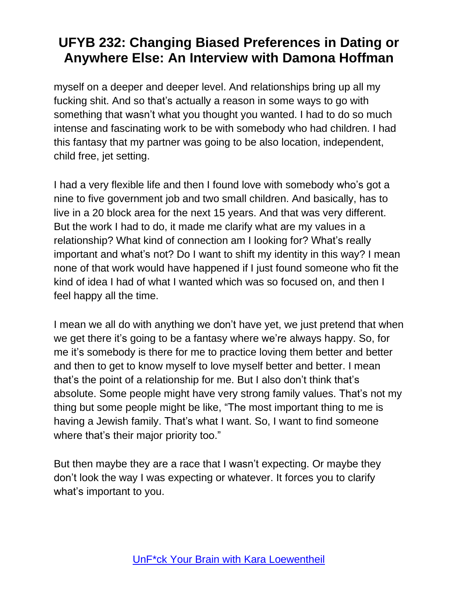myself on a deeper and deeper level. And relationships bring up all my fucking shit. And so that's actually a reason in some ways to go with something that wasn't what you thought you wanted. I had to do so much intense and fascinating work to be with somebody who had children. I had this fantasy that my partner was going to be also location, independent, child free, jet setting.

I had a very flexible life and then I found love with somebody who's got a nine to five government job and two small children. And basically, has to live in a 20 block area for the next 15 years. And that was very different. But the work I had to do, it made me clarify what are my values in a relationship? What kind of connection am I looking for? What's really important and what's not? Do I want to shift my identity in this way? I mean none of that work would have happened if I just found someone who fit the kind of idea I had of what I wanted which was so focused on, and then I feel happy all the time.

I mean we all do with anything we don't have yet, we just pretend that when we get there it's going to be a fantasy where we're always happy. So, for me it's somebody is there for me to practice loving them better and better and then to get to know myself to love myself better and better. I mean that's the point of a relationship for me. But I also don't think that's absolute. Some people might have very strong family values. That's not my thing but some people might be like, "The most important thing to me is having a Jewish family. That's what I want. So, I want to find someone where that's their major priority too."

But then maybe they are a race that I wasn't expecting. Or maybe they don't look the way I was expecting or whatever. It forces you to clarify what's important to you.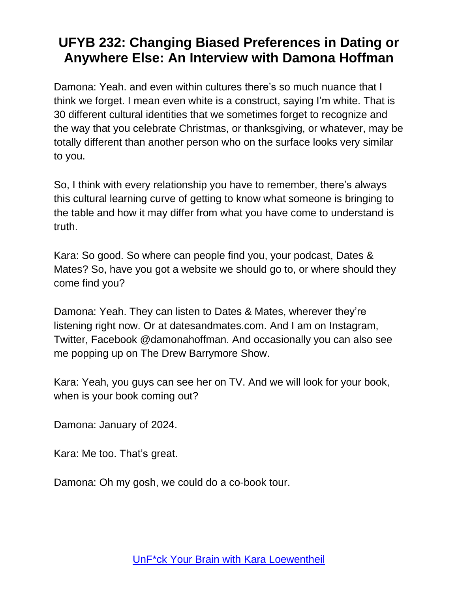Damona: Yeah. and even within cultures there's so much nuance that I think we forget. I mean even white is a construct, saying I'm white. That is 30 different cultural identities that we sometimes forget to recognize and the way that you celebrate Christmas, or thanksgiving, or whatever, may be totally different than another person who on the surface looks very similar to you.

So, I think with every relationship you have to remember, there's always this cultural learning curve of getting to know what someone is bringing to the table and how it may differ from what you have come to understand is truth.

Kara: So good. So where can people find you, your podcast, Dates & Mates? So, have you got a website we should go to, or where should they come find you?

Damona: Yeah. They can listen to Dates & Mates, wherever they're listening right now. Or at datesandmates.com. And I am on Instagram, Twitter, Facebook @damonahoffman. And occasionally you can also see me popping up on The Drew Barrymore Show.

Kara: Yeah, you guys can see her on TV. And we will look for your book, when is your book coming out?

Damona: January of 2024.

Kara: Me too. That's great.

Damona: Oh my gosh, we could do a co-book tour.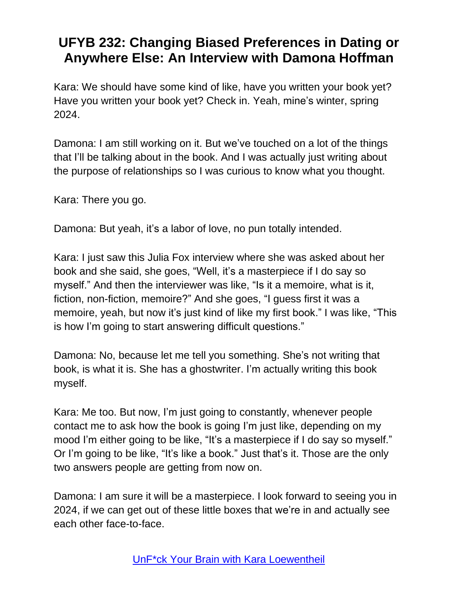Kara: We should have some kind of like, have you written your book yet? Have you written your book yet? Check in. Yeah, mine's winter, spring 2024.

Damona: I am still working on it. But we've touched on a lot of the things that I'll be talking about in the book. And I was actually just writing about the purpose of relationships so I was curious to know what you thought.

Kara: There you go.

Damona: But yeah, it's a labor of love, no pun totally intended.

Kara: I just saw this Julia Fox interview where she was asked about her book and she said, she goes, "Well, it's a masterpiece if I do say so myself." And then the interviewer was like, "Is it a memoire, what is it, fiction, non-fiction, memoire?" And she goes, "I guess first it was a memoire, yeah, but now it's just kind of like my first book." I was like, "This is how I'm going to start answering difficult questions."

Damona: No, because let me tell you something. She's not writing that book, is what it is. She has a ghostwriter. I'm actually writing this book myself.

Kara: Me too. But now, I'm just going to constantly, whenever people contact me to ask how the book is going I'm just like, depending on my mood I'm either going to be like, "It's a masterpiece if I do say so myself." Or I'm going to be like, "It's like a book." Just that's it. Those are the only two answers people are getting from now on.

Damona: I am sure it will be a masterpiece. I look forward to seeing you in 2024, if we can get out of these little boxes that we're in and actually see each other face-to-face.